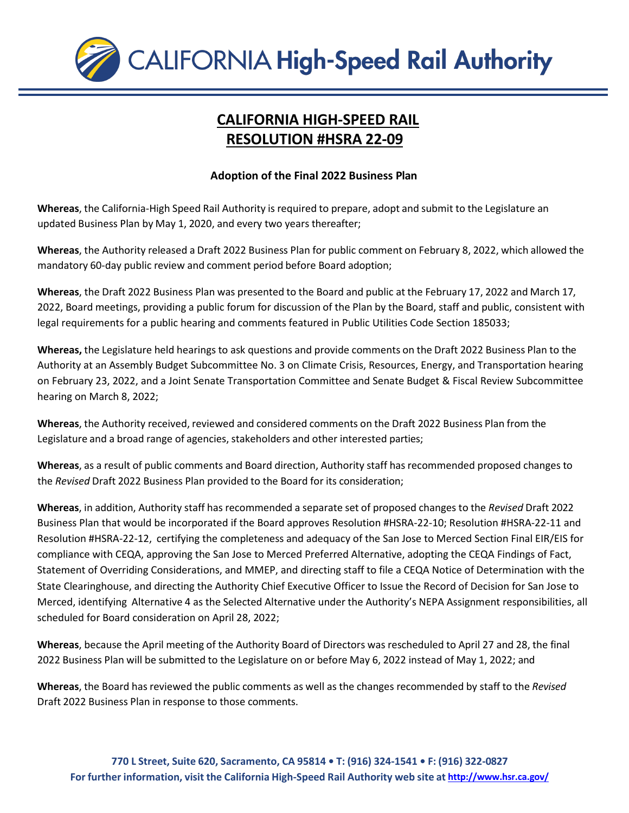

## **CALIFORNIA HIGH-SPEED RAIL RESOLUTION #HSRA 22-09**

## **Adoption of the Final 2022 Business Plan**

**Whereas**, the California-High Speed Rail Authority is required to prepare, adopt and submit to the Legislature an updated Business Plan by May 1, 2020, and every two years thereafter;

**Whereas**, the Authority released a Draft 2022 Business Plan for public comment on February 8, 2022, which allowed the mandatory 60-day public review and comment period before Board adoption;

**Whereas**, the Draft 2022 Business Plan was presented to the Board and public at the February 17, 2022 and March 17, 2022, Board meetings, providing a public forum for discussion of the Plan by the Board, staff and public, consistent with legal requirements for a public hearing and comments featured in Public Utilities Code Section 185033;

**Whereas,** the Legislature held hearings to ask questions and provide comments on the Draft 2022 Business Plan to the Authority at an Assembly Budget Subcommittee No. 3 on Climate Crisis, Resources, Energy, and Transportation hearing on February 23, 2022, and a Joint Senate Transportation Committee and Senate Budget & Fiscal Review Subcommittee hearing on March 8, 2022;

**Whereas**, the Authority received, reviewed and considered comments on the Draft 2022 Business Plan from the Legislature and a broad range of agencies, stakeholders and other interested parties;

**Whereas**, as a result of public comments and Board direction, Authority staff has recommended proposed changes to the *Revised* Draft 2022 Business Plan provided to the Board for its consideration;

**Whereas**, in addition, Authority staff has recommended a separate set of proposed changes to the *Revised* Draft 2022 Business Plan that would be incorporated if the Board approves Resolution #HSRA-22-10; Resolution #HSRA-22-11 and Resolution #HSRA-22-12, certifying the completeness and adequacy of the San Jose to Merced Section Final EIR/EIS for compliance with CEQA, approving the San Jose to Merced Preferred Alternative, adopting the CEQA Findings of Fact, Statement of Overriding Considerations, and MMEP, and directing staff to file a CEQA Notice of Determination with the State Clearinghouse, and directing the Authority Chief Executive Officer to Issue the Record of Decision for San Jose to Merced, identifying Alternative 4 as the Selected Alternative under the Authority's NEPA Assignment responsibilities, all scheduled for Board consideration on April 28, 2022;

**Whereas**, because the April meeting of the Authority Board of Directors was rescheduled to April 27 and 28, the final 2022 Business Plan will be submitted to the Legislature on or before May 6, 2022 instead of May 1, 2022; and

**Whereas**, the Board has reviewed the public comments as well as the changes recommended by staff to the *Revised* Draft 2022 Business Plan in response to those comments.